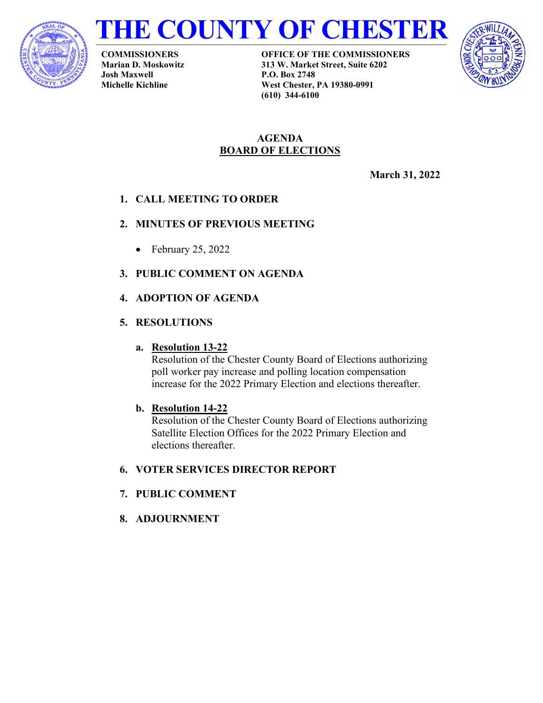



**COMMISSIONERS Marian D. Moskowitz Josh Maxwell Michelle Kichline**

**OFFICE OF THE COMMISSIONERS 313 W. Market Street, Suite 6202 P.O. Box 2748 West Chester, PA 19380-0991 (610) 344-6100**



## **AGENDA BOARD OF ELECTIONS**

**March 31, 2022**

# **1. CALL MEETING TO ORDER**

## **2. MINUTES OF PREVIOUS MEETING**

- February 25, 2022
- **3. PUBLIC COMMENT ON AGENDA**

## **4. ADOPTION OF AGENDA**

## **5. RESOLUTIONS**

## **a. Resolution 13-22**

Resolution of the Chester County Board of Elections authorizing poll worker pay increase and polling location compensation increase for the 2022 Primary Election and elections thereafter.

## **b. Resolution 14-22**

Resolution of the Chester County Board of Elections authorizing Satellite Election Offices for the 2022 Primary Election and elections thereafter.

## **6. VOTER SERVICES DIRECTOR REPORT**

## **7. PUBLIC COMMENT**

**8. ADJOURNMENT**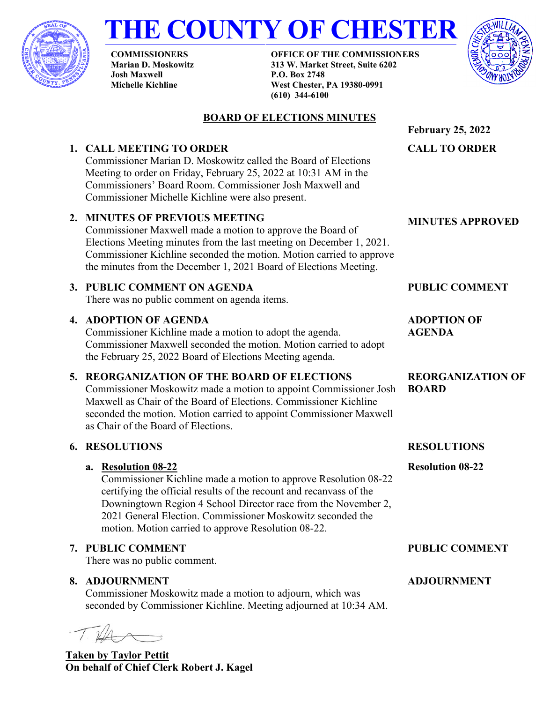

# **THE COUNTY OF CHESTER**

**COMMISSIONERS Marian D. Moskowitz Josh Maxwell Michelle Kichline**

**OFFICE OF THE COMMISSIONERS 313 W. Market Street, Suite 6202 P.O. Box 2748 West Chester, PA 19380-0991 (610) 344-6100**



#### **BOARD OF ELECTIONS MINUTES February 25, 2022 1. CALL MEETING TO ORDER** Commissioner Marian D. Moskowitz called the Board of Elections Meeting to order on Friday, February 25, 2022 at 10:31 AM in the Commissioners' Board Room. Commissioner Josh Maxwell and Commissioner Michelle Kichline were also present. **CALL TO ORDER 2. MINUTES OF PREVIOUS MEETING** Commissioner Maxwell made a motion to approve the Board of Elections Meeting minutes from the last meeting on December 1, 2021. Commissioner Kichline seconded the motion. Motion carried to approve the minutes from the December 1, 2021 Board of Elections Meeting. **MINUTES APPROVED 3. PUBLIC COMMENT ON AGENDA** There was no public comment on agenda items. **PUBLIC COMMENT 4. ADOPTION OF AGENDA** Commissioner Kichline made a motion to adopt the agenda. Commissioner Maxwell seconded the motion. Motion carried to adopt the February 25, 2022 Board of Elections Meeting agenda. **5. REORGANIZATION OF THE BOARD OF ELECTIONS** Commissioner Moskowitz made a motion to appoint Commissioner Josh Maxwell as Chair of the Board of Elections. Commissioner Kichline seconded the motion. Motion carried to appoint Commissioner Maxwell as Chair of the Board of Elections. **6. RESOLUTIONS a. Resolution 08-22** Commissioner Kichline made a motion to approve Resolution 08-22 certifying the official results of the recount and recanvass of the Downingtown Region 4 School Director race from the November 2, 2021 General Election. Commissioner Moskowitz seconded the motion. Motion carried to approve Resolution 08-22. **ADOPTION OF AGENDA REORGANIZATION OF BOARD RESOLUTIONS Resolution 08-22 7. PUBLIC COMMENT** There was no public comment. **PUBLIC COMMENT 8. ADJOURNMENT** Commissioner Moskowitz made a motion to adjourn, which was seconded by Commissioner Kichline. Meeting adjourned at 10:34 AM. **ADJOURNMENT**

**Taken by Taylor Pettit On behalf of Chief Clerk Robert J. Kagel**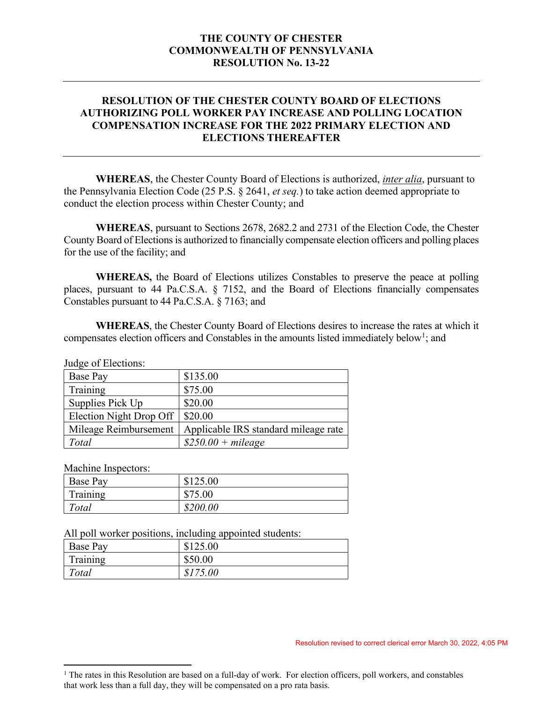### **THE COUNTY OF CHESTER COMMONWEALTH OF PENNSYLVANIA RESOLUTION No. 13-22**

### **RESOLUTION OF THE CHESTER COUNTY BOARD OF ELECTIONS AUTHORIZING POLL WORKER PAY INCREASE AND POLLING LOCATION COMPENSATION INCREASE FOR THE 2022 PRIMARY ELECTION AND ELECTIONS THEREAFTER**

**WHEREAS**, the Chester County Board of Elections is authorized, *inter alia*, pursuant to the Pennsylvania Election Code (25 P.S. § 2641, *et seq.*) to take action deemed appropriate to conduct the election process within Chester County; and

**WHEREAS**, pursuant to Sections 2678, 2682.2 and 2731 of the Election Code, the Chester County Board of Elections is authorized to financially compensate election officers and polling places for the use of the facility; and

**WHEREAS,** the Board of Elections utilizes Constables to preserve the peace at polling places, pursuant to 44 Pa.C.S.A. § 7152, and the Board of Elections financially compensates Constables pursuant to 44 Pa.C.S.A. § 7163; and

**WHEREAS**, the Chester County Board of Elections desires to increase the rates at which it compensates election officers and Constables in the amounts listed immediately below<sup>[1](#page-2-0)</sup>; and

Judge of Elections:

| \$135.00                             |
|--------------------------------------|
| \$75.00                              |
| \$20.00                              |
| \$20.00<br>Election Night Drop Off   |
| Applicable IRS standard mileage rate |
| $$250.00 + mileage$                  |
|                                      |

Machine Inspectors:

| Base Pay | \$125.00 |
|----------|----------|
| Training | \$75.00  |
| Total    | \$200.00 |

All poll worker positions, including appointed students:

| Base Pay | \$125.00 |
|----------|----------|
| Training | \$50.00  |
| Total    | \$175.00 |

Resolution revised to correct clerical error March 30, 2022, 4:05 PM

<span id="page-2-0"></span><sup>&</sup>lt;sup>1</sup> The rates in this Resolution are based on a full-day of work. For election officers, poll workers, and constables that work less than a full day, they will be compensated on a pro rata basis.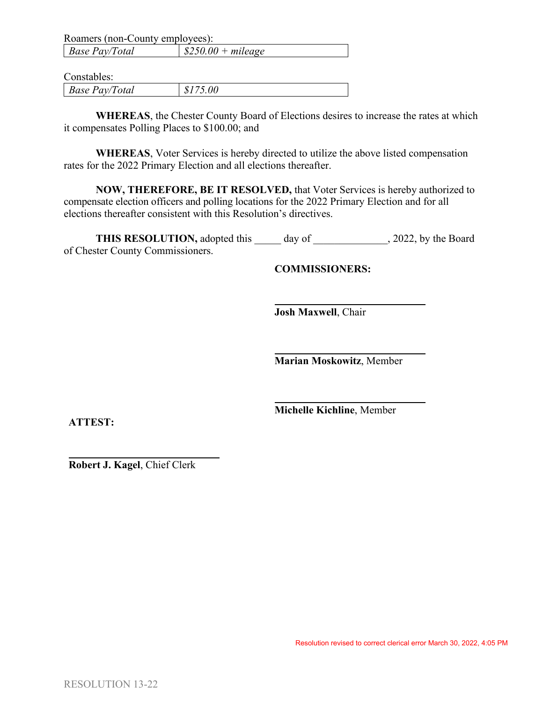| Roamers (non-County employees): |                                  |
|---------------------------------|----------------------------------|
| <b>Base Pay/Total</b>           | $\frac{1}{2}$ \$250.00 + mileage |

Constables:

| <b>Base</b><br>'Total<br>Pav/ |  |
|-------------------------------|--|
|-------------------------------|--|

**WHEREAS**, the Chester County Board of Elections desires to increase the rates at which it compensates Polling Places to \$100.00; and

**WHEREAS**, Voter Services is hereby directed to utilize the above listed compensation rates for the 2022 Primary Election and all elections thereafter.

**NOW, THEREFORE, BE IT RESOLVED,** that Voter Services is hereby authorized to compensate election officers and polling locations for the 2022 Primary Election and for all elections thereafter consistent with this Resolution's directives.

**THIS RESOLUTION,** adopted this day of , 2022, by the Board of Chester County Commissioners.

**COMMISSIONERS:**

**Josh Maxwell**, Chair

**Marian Moskowitz**, Member

**Michelle Kichline**, Member

**ATTEST:**

**Robert J. Kagel**, Chief Clerk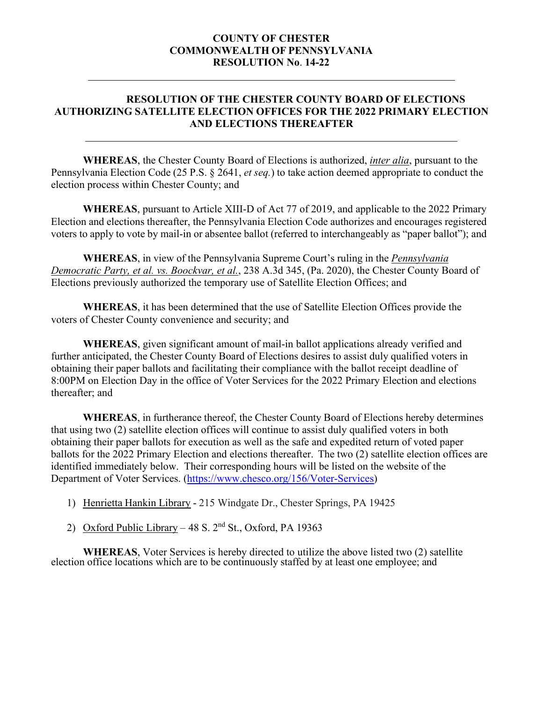### **COUNTY OF CHESTER COMMONWEALTH OF PENNSYLVANIA RESOLUTION No**. **14-22**

### **RESOLUTION OF THE CHESTER COUNTY BOARD OF ELECTIONS AUTHORIZING SATELLITE ELECTION OFFICES FOR THE 2022 PRIMARY ELECTION AND ELECTIONS THEREAFTER**

**WHEREAS**, the Chester County Board of Elections is authorized, *inter alia*, pursuant to the Pennsylvania Election Code (25 P.S. § 2641, *et seq.*) to take action deemed appropriate to conduct the election process within Chester County; and

**WHEREAS**, pursuant to Article XIII-D of Act 77 of 2019, and applicable to the 2022 Primary Election and elections thereafter, the Pennsylvania Election Code authorizes and encourages registered voters to apply to vote by mail-in or absentee ballot (referred to interchangeably as "paper ballot"); and

**WHEREAS**, in view of the Pennsylvania Supreme Court's ruling in the *Pennsylvania Democratic Party, et al. vs. Boockvar, et al.*, 238 A.3d 345, (Pa. 2020), the Chester County Board of Elections previously authorized the temporary use of Satellite Election Offices; and

**WHEREAS**, it has been determined that the use of Satellite Election Offices provide the voters of Chester County convenience and security; and

**WHEREAS**, given significant amount of mail-in ballot applications already verified and further anticipated, the Chester County Board of Elections desires to assist duly qualified voters in obtaining their paper ballots and facilitating their compliance with the ballot receipt deadline of 8:00PM on Election Day in the office of Voter Services for the 2022 Primary Election and elections thereafter; and

**WHEREAS**, in furtherance thereof, the Chester County Board of Elections hereby determines that using two (2) satellite election offices will continue to assist duly qualified voters in both obtaining their paper ballots for execution as well as the safe and expedited return of voted paper ballots for the 2022 Primary Election and elections thereafter. The two (2) satellite election offices are identified immediately below. Their corresponding hours will be listed on the website of the Department of Voter Services. [\(https://www.chesco.org/156/Voter-Services\)](https://www.chesco.org/156/Voter-Services)

- 1) Henrietta Hankin Library 215 Windgate Dr., Chester Springs, PA 19425
- 2) Oxford Public Library 48 S.  $2<sup>nd</sup>$  St., Oxford, PA 19363

**WHEREAS**, Voter Services is hereby directed to utilize the above listed two (2) satellite election office locations which are to be continuously staffed by at least one employee; and